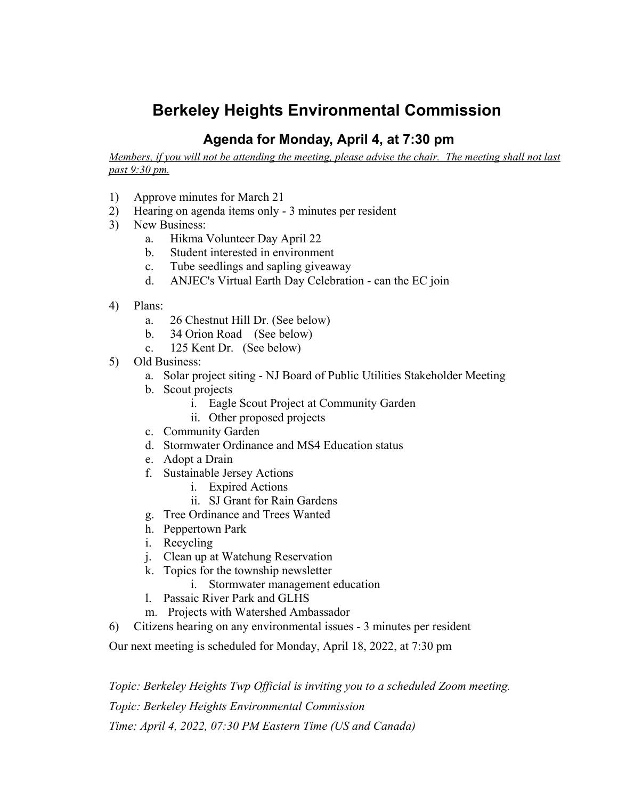# **Berkeley Heights Environmental Commission**

# **Agenda for Monday, April 4, at 7:30 pm**

Members, if you will not be attending the meeting, please advise the chair. The meeting shall not last *past 9:30 pm.*

- 1) Approve minutes for March 21
- 2) Hearing on agenda items only 3 minutes per resident
- 3) New Business:
	- a. Hikma Volunteer Day April 22
	- b. Student interested in environment
	- c. Tube seedlings and sapling giveaway
	- d. ANJEC's Virtual Earth Day Celebration can the EC join
- 4) Plans:
	- a. 26 Chestnut Hill Dr. (See below)
	- b. 34 Orion Road (See below)
	- c. 125 Kent Dr. (See below)
- 5) Old Business:
	- a. Solar project siting NJ Board of Public Utilities Stakeholder Meeting
	- b. Scout projects
		- i. Eagle Scout Project at Community Garden
		- ii. Other proposed projects
	- c. Community Garden
	- d. Stormwater Ordinance and MS4 Education status
	- e. Adopt a Drain
	- f. Sustainable Jersey Actions
		- i. Expired Actions
		- ii. SJ Grant for Rain Gardens
	- g. Tree Ordinance and Trees Wanted
	- h. Peppertown Park
	- i. Recycling
	- j. Clean up at Watchung Reservation
	- k. Topics for the township newsletter
		- i. Stormwater management education
	- l. Passaic River Park and GLHS
	- m. Projects with Watershed Ambassador
- 6) Citizens hearing on any environmental issues 3 minutes per resident
- Our next meeting is scheduled for Monday, April 18, 2022, at 7:30 pm

*Topic: Berkeley Heights Twp Official is inviting you to a scheduled Zoom meeting. Topic: Berkeley Heights Environmental Commission Time: April 4, 2022, 07:30 PM Eastern Time (US and Canada)*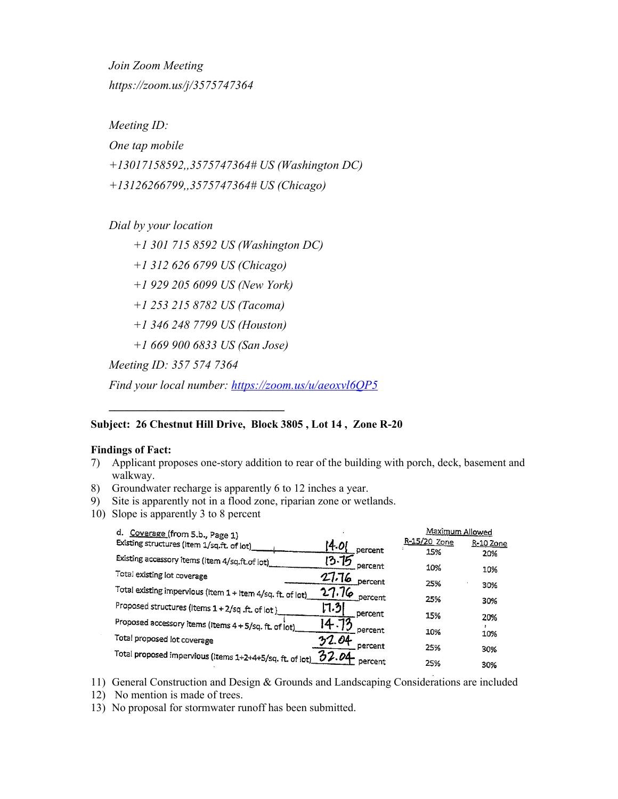*Join Zoom Meeting https://zoom.us/j/3575747364*

*Meeting ID:*

*One tap mobile*

*+13017158592,,3575747364# US (Washington DC)*

*+13126266799,,3575747364# US (Chicago)*

*Dial by your location*

*+1 301 715 8592 US (Washington DC) +1 312 626 6799 US (Chicago) +1 929 205 6099 US (New York) +1 253 215 8782 US (Tacoma) +1 346 248 7799 US (Houston) +1 669 900 6833 US (San Jose) Meeting ID: 357 574 7364*

*Find your local number: <https://zoom.us/u/aeoxvl6QP5>*

# **Subject: 26 Chestnut Hill Drive, Block 3805 , Lot 14 , Zone R-20**

## **Findings of Fact:**

 $\sim$ 

- 7) Applicant proposes one-story addition to rear of the building with porch, deck, basement and walkway.
- 8) Groundwater recharge is apparently 6 to 12 inches a year.
- 9) Site is apparently not in a flood zone, riparian zone or wetlands.
- 10) Slope is apparently 3 to 8 percent

**\_\_\_\_\_\_\_\_\_\_\_\_\_\_\_\_\_\_\_\_\_\_\_\_\_\_\_\_\_**

| Coverage (from 5.b., Page 1)<br>d.                         |                  | Maximum Allowed |           |
|------------------------------------------------------------|------------------|-----------------|-----------|
| Existing structures (Item 1/sq.ft. of lot)                 | i4.ol            | R-15/20 Zone    | R-10 Zone |
| Existing accessory items (Item 4/sq.ft.of lot)             | percent<br>13.75 | 15%             | 20%       |
|                                                            | percent          | 10%             | 10%       |
| Total existing lot coverage                                | 27.76<br>percent | 25%             | 30%       |
| Total existing impervious (Item 1 + Item 4/sq. ft. of lot) | 27.76<br>percent |                 |           |
| Proposed structures (Items 1 + 2/sq .ft. of lot)           | l7.31            | 25%             | 30%       |
|                                                            | percent          | 15%             | 20%       |
| Proposed accessory items (Items 4 + 5/sq. ft. of lot)      | Ι4∹<br>percent.  | 10%             | 10%       |
| Total proposed lot coverage                                | 32.04<br>percent |                 |           |
| Total proposed impervious (Items 1+2+4+5/sq. ft. of lot)   | 32.04            | 25%             | 30%       |
|                                                            | percent          | 25%             | 30%       |

- 11) General Construction and Design & Grounds and Landscaping Considerations are included
- 12) No mention is made of trees.
- 13) No proposal for stormwater runoff has been submitted.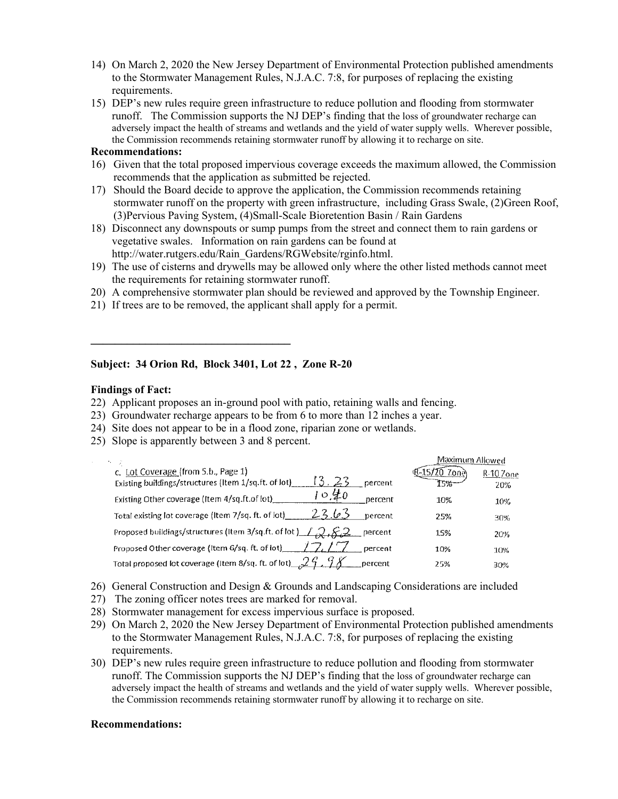- 14) On March 2, 2020 the New Jersey Department of Environmental Protection published amendments to the Stormwater Management Rules, N.J.A.C. 7:8, for purposes of replacing the existing requirements.
- 15) DEP's new rules require green infrastructure to reduce pollution and flooding from stormwater runoff. The Commission supports the NJ DEP's finding that the loss of groundwater recharge can adversely impact the health of streams and wetlands and the yield of water supply wells. Wherever possible, the Commission recommends retaining stormwater runoff by allowing it to recharge on site.

#### **Recommendations:**

- 16) Given that the total proposed impervious coverage exceeds the maximum allowed, the Commission recommends that the application as submitted be rejected.
- 17) Should the Board decide to approve the application, the Commission recommends retaining stormwater runoff on the property with green infrastructure, including Grass Swale, (2)Green Roof, (3)Pervious Paving System, (4)Small-Scale Bioretention Basin / Rain Gardens
- 18) Disconnect any downspouts or sump pumps from the street and connect them to rain gardens or vegetative swales. Information on rain gardens can be found at [http://water.rutgers.edu/Rain\\_Gardens/RGWebsite/rginfo.html.](http://water.rutgers.edu/Rain_Gardens/RGWebsite/rginfo.html)
- 19) The use of cisterns and drywells may be allowed only where the other listed methods cannot meet the requirements for retaining stormwater runoff.
- 20) A comprehensive stormwater plan should be reviewed and approved by the Township Engineer.
- 21) If trees are to be removed, the applicant shall apply for a permit.

### **Subject: 34 Orion Rd, Block 3401, Lot 22 , Zone R-20**

#### **Findings of Fact:**

- 22) Applicant proposes an in-ground pool with patio, retaining walls and fencing.
- 23) Groundwater recharge appears to be from 6 to more than 12 inches a year.
- 24) Site does not appear to be in a flood zone, riparian zone or wetlands.
- 25) Slope is apparently between 3 and 8 percent.

 $\mathcal{L} = \{ \mathcal{L} \}$ 

|                                                                               | Maximum Allowed |           |
|-------------------------------------------------------------------------------|-----------------|-----------|
| Lot Coverage (from 5.b., Page 1)                                              |                 | R-10 Zone |
| 13.23<br>Existing buildings/structures (Item 1/sq.ft. of lot)<br>percent      | 5%-             | 20%       |
| 10年0<br>Existing Other coverage (Item 4/sq.ft.of lot)_<br>percent             | 10%             | 10%       |
| 23.63<br>Total existing lot coverage (Item 7/sq. ft. of lot)_<br>percent      | 25%             | 30%       |
| Proposed buildings/structures (Item 3/sq.ft. of lot ) $1, 2, 8, 2$<br>percent | 15%             | 20%       |
| Proposed Other coverage (Item 6/sq. ft. of lot)_<br>percent                   | 10%             | 10%       |
| Total proposed lot coverage (Item 8/sq. ft. of lot) 324, 98<br>percent        | 25%             | 30%       |

- 26) General Construction and Design & Grounds and Landscaping Considerations are included
- 27) The zoning officer notes trees are marked for removal.
- 28) Stormwater management for excess impervious surface is proposed.
- 29) On March 2, 2020 the New Jersey Department of Environmental Protection published amendments to the Stormwater Management Rules, N.J.A.C. 7:8, for purposes of replacing the existing requirements.
- 30) DEP's new rules require green infrastructure to reduce pollution and flooding from stormwater runoff. The Commission supports the NJ DEP's finding that the loss of groundwater recharge can adversely impact the health of streams and wetlands and the yield of water supply wells. Wherever possible, the Commission recommends retaining stormwater runoff by allowing it to recharge on site.

#### **Recommendations:**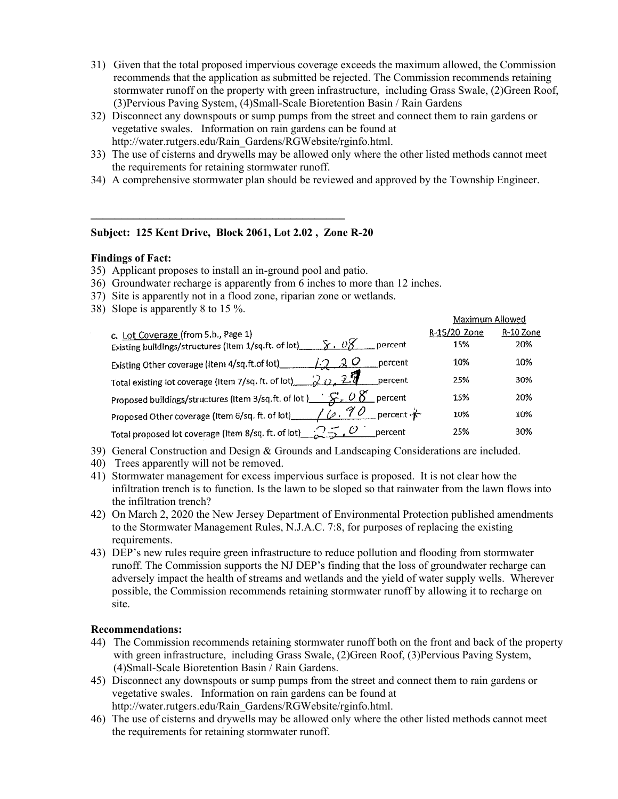- 31) Given that the total proposed impervious coverage exceeds the maximum allowed, the Commission recommends that the application as submitted be rejected. The Commission recommends retaining stormwater runoff on the property with green infrastructure, including Grass Swale, (2)Green Roof, (3)Pervious Paving System, (4)Small-Scale Bioretention Basin / Rain Gardens
- 32) Disconnect any downspouts or sump pumps from the street and connect them to rain gardens or vegetative swales. Information on rain gardens can be found at [http://water.rutgers.edu/Rain\\_Gardens/RGWebsite/rginfo.html.](http://water.rutgers.edu/Rain_Gardens/RGWebsite/rginfo.html)
- 33) The use of cisterns and drywells may be allowed only where the other listed methods cannot meet the requirements for retaining stormwater runoff.
- 34) A comprehensive stormwater plan should be reviewed and approved by the Township Engineer.

#### **Subject: 125 Kent Drive, Block 2061, Lot 2.02 , Zone R-20**

 $\mathcal{L} = \{ \mathcal{L} \}$ 

#### **Findings of Fact:**

- 35) Applicant proposes to install an in-ground pool and patio.
- 36) Groundwater recharge is apparently from 6 inches to more than 12 inches.
- 37) Site is apparently not in a flood zone, riparian zone or wetlands.
- 38) Slope is apparently 8 to 15 %.

| .                                                                                                                        |                     | Maximum Allowed  |  |
|--------------------------------------------------------------------------------------------------------------------------|---------------------|------------------|--|
| c. Lot Coverage (from 5.b., Page 1)<br>8. v8<br>Existing buildings/structures (Item 1/sq.ft. of lot)<br>percent          | R-15/20 Zone<br>15% | R-10 Zone<br>20% |  |
| 20<br>percent<br>Existing Other coverage (Item 4/sq.ft.of lot)                                                           | 10%                 | 10%              |  |
| Total existing lot coverage (Item 7/sq. ft. of lot)_<br>percent                                                          | 25%                 | 30%              |  |
| Proposed buildings/structures (Item 3/sq.ft. of lot ) $\frac{1}{2}$ $\frac{1}{2}$ $\frac{1}{2}$ $\frac{1}{2}$<br>percent | 15%                 | 20%              |  |
| 90<br>percent $\mathbf{r}$<br>Proposed Other coverage (Item 6/sq. ft. of lot)_____<br>$\angle$ $\omega$                  | 10%                 | 10%              |  |
| Total proposed lot coverage (Item 8/sq. ft. of lot)_<br>percent                                                          | 25%                 | 30%              |  |

39) General Construction and Design & Grounds and Landscaping Considerations are included.

- 40) Trees apparently will not be removed.
- 41) Stormwater management for excess impervious surface is proposed. It is not clear how the infiltration trench is to function. Is the lawn to be sloped so that rainwater from the lawn flows into the infiltration trench?
- 42) On March 2, 2020 the New Jersey Department of Environmental Protection published amendments to the Stormwater Management Rules, N.J.A.C. 7:8, for purposes of replacing the existing requirements.
- 43) DEP's new rules require green infrastructure to reduce pollution and flooding from stormwater runoff. The Commission supports the NJ DEP's finding that the loss of groundwater recharge can adversely impact the health of streams and wetlands and the yield of water supply wells. Wherever possible, the Commission recommends retaining stormwater runoff by allowing it to recharge on site.

#### **Recommendations:**

- 44) The Commission recommends retaining stormwater runoff both on the front and back of the property with green infrastructure, including Grass Swale, (2)Green Roof, (3)Pervious Paving System, (4)Small-Scale Bioretention Basin / Rain Gardens.
- 45) Disconnect any downspouts or sump pumps from the street and connect them to rain gardens or vegetative swales. Information on rain gardens can be found at [http://water.rutgers.edu/Rain\\_Gardens/RGWebsite/rginfo.html.](http://water.rutgers.edu/Rain_Gardens/RGWebsite/rginfo.html)
- 46) The use of cisterns and drywells may be allowed only where the other listed methods cannot meet the requirements for retaining stormwater runoff.